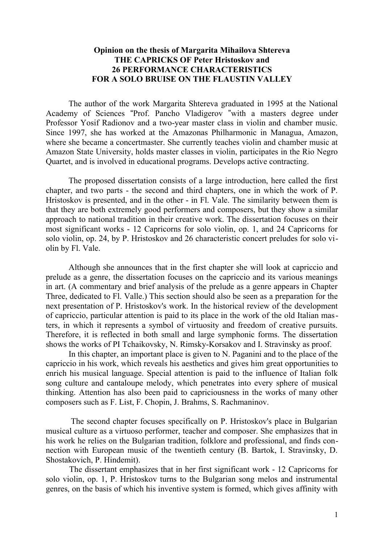## **Opinion on the thesis of Margarita Mihailova Shtereva THE CAPRICKS OF Peter Hristoskov and 26 PERFORMANCE CHARACTERISTICS FOR A SOLO BRUISE ON THE FLAUSTIN VALLEY**

The author of the work Margarita Shtereva graduated in 1995 at the National Academy of Sciences "Prof. Pancho Vladigerov "with a masters degree under Professor Yosif Radionov and a two-year master class in violin and chamber music. Since 1997, she has worked at the Amazonas Philharmonic in Managua, Amazon, where she became a concertmaster. She currently teaches violin and chamber music at Amazon State University, holds master classes in violin, participates in the Rio Negro Quartet, and is involved in educational programs. Develops active contracting.

The proposed dissertation consists of a large introduction, here called the first chapter, and two parts - the second and third chapters, one in which the work of P. Hristoskov is presented, and in the other - in Fl. Vale. The similarity between them is that they are both extremely good performers and composers, but they show a similar approach to national tradition in their creative work. The dissertation focuses on their most significant works - 12 Capricorns for solo violin, op. 1, and 24 Capricorns for solo violin, op. 24, by P. Hristoskov and 26 characteristic concert preludes for solo violin by Fl. Vale.

Although she announces that in the first chapter she will look at capriccio and prelude as a genre, the dissertation focuses on the capriccio and its various meanings in art. (A commentary and brief analysis of the prelude as a genre appears in Chapter Three, dedicated to Fl. Valle.) This section should also be seen as a preparation for the next presentation of P. Hristoskov's work. In the historical review of the development of capriccio, particular attention is paid to its place in the work of the old Italian masters, in which it represents a symbol of virtuosity and freedom of creative pursuits. Therefore, it is reflected in both small and large symphonic forms. The dissertation shows the works of PI Tchaikovsky, N. Rimsky-Korsakov and I. Stravinsky as proof.

In this chapter, an important place is given to N. Paganini and to the place of the capriccio in his work, which reveals his aesthetics and gives him great opportunities to enrich his musical language. Special attention is paid to the influence of Italian folk song culture and cantaloupe melody, which penetrates into every sphere of musical thinking. Attention has also been paid to capriciousness in the works of many other composers such as F. List, F. Chopin, J. Brahms, S. Rachmaninov.

 The second chapter focuses specifically on P. Hristoskov's place in Bulgarian musical culture as a virtuoso performer, teacher and composer. She emphasizes that in his work he relies on the Bulgarian tradition, folklore and professional, and finds connection with European music of the twentieth century (B. Bartok, I. Stravinsky, D. Shostakovich, P. Hindemit).

 The dissertant emphasizes that in her first significant work - 12 Capricorns for solo violin, op. 1, P. Hristoskov turns to the Bulgarian song melos and instrumental genres, on the basis of which his inventive system is formed, which gives affinity with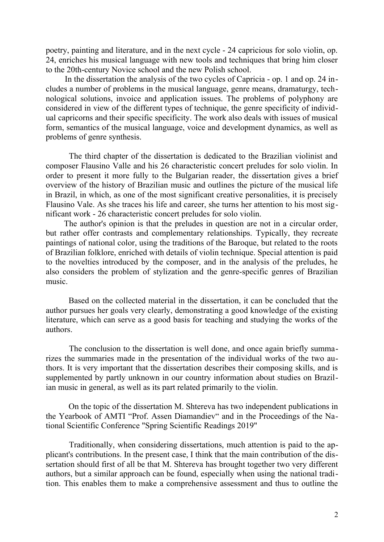poetry, painting and literature, and in the next cycle - 24 capricious for solo violin, op. 24, enriches his musical language with new tools and techniques that bring him closer to the 20th-century Novice school and the new Polish school.

 In the dissertation the analysis of the two cycles of Capricia - op. 1 and op. 24 includes a number of problems in the musical language, genre means, dramaturgy, technological solutions, invoice and application issues. The problems of polyphony are considered in view of the different types of technique, the genre specificity of individual capricorns and their specific specificity. The work also deals with issues of musical form, semantics of the musical language, voice and development dynamics, as well as problems of genre synthesis.

 The third chapter of the dissertation is dedicated to the Brazilian violinist and composer Flausino Valle and his 26 characteristic concert preludes for solo violin. In order to present it more fully to the Bulgarian reader, the dissertation gives a brief overview of the history of Brazilian music and outlines the picture of the musical life in Brazil, in which, as one of the most significant creative personalities, it is precisely Flausino Vale. As she traces his life and career, she turns her attention to his most significant work - 26 characteristic concert preludes for solo violin.

The author's opinion is that the preludes in question are not in a circular order, but rather offer contrasts and complementary relationships. Typically, they recreate paintings of national color, using the traditions of the Baroque, but related to the roots of Brazilian folklore, enriched with details of violin technique. Special attention is paid to the novelties introduced by the composer, and in the analysis of the preludes, he also considers the problem of stylization and the genre-specific genres of Brazilian music.

Based on the collected material in the dissertation, it can be concluded that the author pursues her goals very clearly, demonstrating a good knowledge of the existing literature, which can serve as a good basis for teaching and studying the works of the authors.

The conclusion to the dissertation is well done, and once again briefly summarizes the summaries made in the presentation of the individual works of the two authors. It is very important that the dissertation describes their composing skills, and is supplemented by partly unknown in our country information about studies on Brazilian music in general, as well as its part related primarily to the violin.

On the topic of the dissertation M. Shtereva has two independent publications in the Yearbook of AMTI "Prof. Assen Diamandiev" and in the Proceedings of the National Scientific Conference "Spring Scientific Readings 2019"

Traditionally, when considering dissertations, much attention is paid to the applicant's contributions. In the present case, I think that the main contribution of the dissertation should first of all be that M. Shtereva has brought together two very different authors, but a similar approach can be found, especially when using the national tradition. This enables them to make a comprehensive assessment and thus to outline the